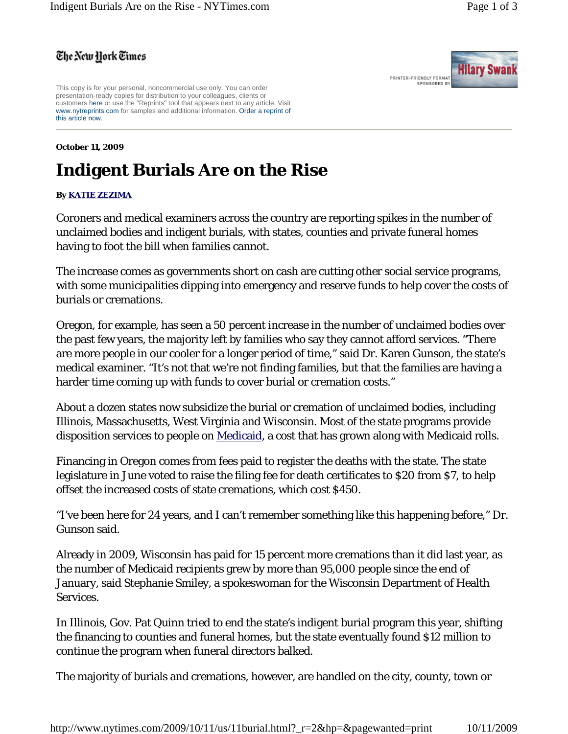**Hilary Swank** 

PRINTER-FRIENDLY FORMAT SPONSORED BY

## The New York Times

This copy is for your personal, noncommercial use only. You can order presentation-ready copies for distribution to your colleagues, clients or customers here or use the "Reprints" tool that appears next to any article. Visit www.nytreprints.com for samples and additional information. Order a reprint of this article now.

## **October 11, 2009**

## **Indigent Burials Are on the Rise**

## **By KATIE ZEZIMA**

Coroners and medical examiners across the country are reporting spikes in the number of unclaimed bodies and indigent burials, with states, counties and private funeral homes having to foot the bill when families cannot.

The increase comes as governments short on cash are cutting other social service programs, with some municipalities dipping into emergency and reserve funds to help cover the costs of burials or cremations.

Oregon, for example, has seen a 50 percent increase in the number of unclaimed bodies over the past few years, the majority left by families who say they cannot afford services. "There are more people in our cooler for a longer period of time," said Dr. Karen Gunson, the state's medical examiner. "It's not that we're not finding families, but that the families are having a harder time coming up with funds to cover burial or cremation costs."

About a dozen states now subsidize the burial or cremation of unclaimed bodies, including Illinois, Massachusetts, West Virginia and Wisconsin. Most of the state programs provide disposition services to people on Medicaid, a cost that has grown along with Medicaid rolls.

Financing in Oregon comes from fees paid to register the deaths with the state. The state legislature in June voted to raise the filing fee for death certificates to \$20 from \$7, to help offset the increased costs of state cremations, which cost \$450.

"I've been here for 24 years, and I can't remember something like this happening before," Dr. Gunson said.

Already in 2009, Wisconsin has paid for 15 percent more cremations than it did last year, as the number of Medicaid recipients grew by more than 95,000 people since the end of January, said Stephanie Smiley, a spokeswoman for the Wisconsin Department of Health Services.

In Illinois, Gov. Pat Quinn tried to end the state's indigent burial program this year, shifting the financing to counties and funeral homes, but the state eventually found \$12 million to continue the program when funeral directors balked.

The majority of burials and cremations, however, are handled on the city, county, town or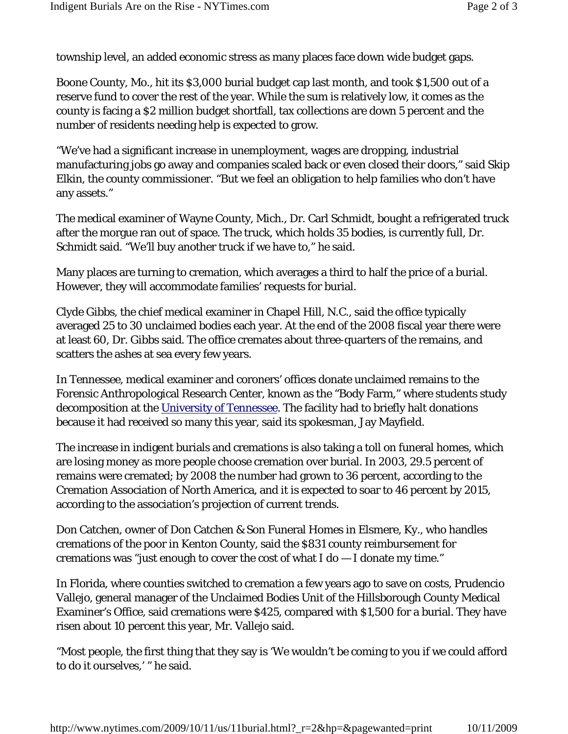township level, an added economic stress as many places face down wide budget gaps.

Boone County, Mo., hit its \$3,000 burial budget cap last month, and took \$1,500 out of a reserve fund to cover the rest of the year. While the sum is relatively low, it comes as the county is facing a \$2 million budget shortfall, tax collections are down 5 percent and the number of residents needing help is expected to grow.

"We've had a significant increase in unemployment, wages are dropping, industrial manufacturing jobs go away and companies scaled back or even closed their doors," said Skip Elkin, the county commissioner. "But we feel an obligation to help families who don't have any assets."

The medical examiner of Wayne County, Mich., Dr. Carl Schmidt, bought a refrigerated truck after the morgue ran out of space. The truck, which holds 35 bodies, is currently full, Dr. Schmidt said. "We'll buy another truck if we have to," he said.

Many places are turning to cremation, which averages a third to half the price of a burial. However, they will accommodate families' requests for burial.

Clyde Gibbs, the chief medical examiner in Chapel Hill, N.C., said the office typically averaged 25 to 30 unclaimed bodies each year. At the end of the 2008 fiscal year there were at least 60, Dr. Gibbs said. The office cremates about three-quarters of the remains, and scatters the ashes at sea every few years.

In Tennessee, medical examiner and coroners' offices donate unclaimed remains to the Forensic Anthropological Research Center, known as the "Body Farm," where students study decomposition at the University of Tennessee. The facility had to briefly halt donations because it had received so many this year, said its spokesman, Jay Mayfield.

The increase in indigent burials and cremations is also taking a toll on funeral homes, which are losing money as more people choose cremation over burial. In 2003, 29.5 percent of remains were cremated; by 2008 the number had grown to 36 percent, according to the Cremation Association of North America, and it is expected to soar to 46 percent by 2015, according to the association's projection of current trends.

Don Catchen, owner of Don Catchen & Son Funeral Homes in Elsmere, Ky., who handles cremations of the poor in Kenton County, said the \$831 county reimbursement for cremations was "just enough to cover the cost of what I do — I donate my time."

In Florida, where counties switched to cremation a few years ago to save on costs, Prudencio Vallejo, general manager of the Unclaimed Bodies Unit of the Hillsborough County Medical Examiner's Office, said cremations were \$425, compared with \$1,500 for a burial. They have risen about 10 percent this year, Mr. Vallejo said.

"Most people, the first thing that they say is 'We wouldn't be coming to you if we could afford to do it ourselves,' " he said.